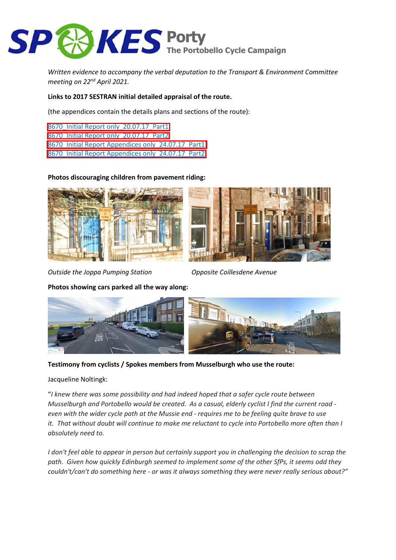

*Written evidence to accompany the verbal deputation to the Transport & Environment Committee meeting on 22nd April 2021.*

## **Links to 2017 SESTRAN initial detailed appraisal of the route.**

(the appendices contain the details plans and sections of the route):

[8670\\_Initial Report only\\_20.07.17\\_Part1](https://sestran.gov.uk/wp-content/uploads/2017/07/8670_Initial-Report-only_20.07.17_Part1.pdf) [8670\\_Initial Report only\\_20.07.17\\_Part2](https://sestran.gov.uk/wp-content/uploads/2017/07/8670_Initial-Report-only_20.07.17_Part2.pdf) 8670 Initial Report Appendices only 24.07.17 Part1 8670 Initial Report Appendices only 24.07.17 Part2

## **Photos discouraging children from pavement riding:**





*Outside the Joppa Pumping Station Opposite Coillesdene Avenue*

**Photos showing cars parked all the way along:**



**Testimony from cyclists / Spokes members from Musselburgh who use the route:**

## Jacqueline Noltingk:

"*I knew there was some possibility and had indeed hoped that a safer cycle route between Musselburgh and Portobello would be created. As a casual, elderly cyclist I find the current road even with the wider cycle path at the Mussie end - requires me to be feeling quite brave to use it. That without doubt will continue to make me reluctant to cycle into Portobello more often than I absolutely need to.*

*I don't feel able to appear in person but certainly support you in challenging the decision to scrap the path. Given how quickly Edinburgh seemed to implement some of the other SfPs, it seems odd they couldn't/can't do something here - or was it always something they were never really serious about?"*